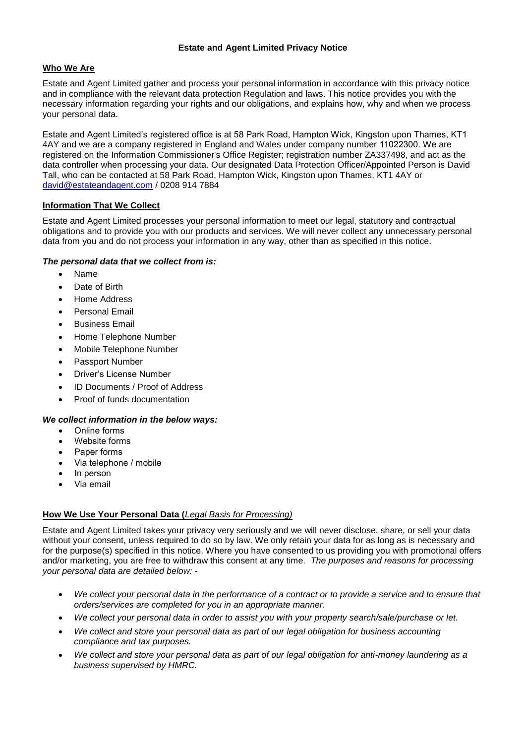## **Estate and Agent Limited Privacy Notice**

# **Who We Are**

Estate and Agent Limited gather and process your personal information in accordance with this privacy notice and in compliance with the relevant data protection Regulation and laws. This notice provides you with the necessary information regarding your rights and our obligations, and explains how, why and when we process your personal data.

Estate and Agent Limited's registered office is at 58 Park Road, Hampton Wick, Kingston upon Thames, KT1 4AY and we are a company registered in England and Wales under company number 11022300. We are registered on the Information Commissioner's Office Register; registration number ZA337498, and act as the data controller when processing your data. Our designated Data Protection Officer/Appointed Person is David Tall, who can be contacted at 58 Park Road, Hampton Wick, Kingston upon Thames, KT1 4AY or [david@estateandagent.com](mailto:david@estateandagent.com) / 0208 914 7884

# **Information That We Collect**

Estate and Agent Limited processes your personal information to meet our legal, statutory and contractual obligations and to provide you with our products and services. We will never collect any unnecessary personal data from you and do not process your information in any way, other than as specified in this notice.

# *The personal data that we collect from is:*

- Name
- Date of Birth
- Home Address
- Personal Email
- Business Email
- Home Telephone Number
- Mobile Telephone Number
- Passport Number
- Driver's License Number
- ID Documents / Proof of Address
- Proof of funds documentation

# *We collect information in the below ways:*

- Online forms
- Website forms
- Paper forms
- Via telephone / mobile
- In person
- Via email

# **How We Use Your Personal Data (***Legal Basis for Processing)*

Estate and Agent Limited takes your privacy very seriously and we will never disclose, share, or sell your data without your consent, unless required to do so by law. We only retain your data for as long as is necessary and for the purpose(s) specified in this notice. Where you have consented to us providing you with promotional offers and/or marketing, you are free to withdraw this consent at any time. *The purposes and reasons for processing your personal data are detailed below: -*

- *We collect your personal data in the performance of a contract or to provide a service and to ensure that orders/services are completed for you in an appropriate manner.*
- *We collect your personal data in order to assist you with your property search/sale/purchase or let.*
- *We collect and store your personal data as part of our legal obligation for business accounting compliance and tax purposes.*
- *We collect and store your personal data as part of our legal obligation for anti-money laundering as a business supervised by HMRC.*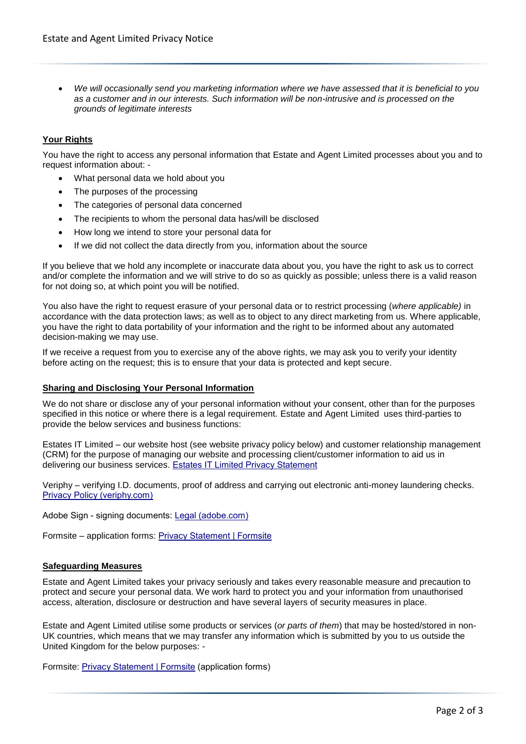*We will occasionally send you marketing information where we have assessed that it is beneficial to you as a customer and in our interests. Such information will be non-intrusive and is processed on the grounds of legitimate interests*

# **Your Rights**

You have the right to access any personal information that Estate and Agent Limited processes about you and to request information about: -

- What personal data we hold about you
- The purposes of the processing
- The categories of personal data concerned
- The recipients to whom the personal data has/will be disclosed
- How long we intend to store your personal data for
- If we did not collect the data directly from you, information about the source

If you believe that we hold any incomplete or inaccurate data about you, you have the right to ask us to correct and/or complete the information and we will strive to do so as quickly as possible; unless there is a valid reason for not doing so, at which point you will be notified.

You also have the right to request erasure of your personal data or to restrict processing (*where applicable)* in accordance with the data protection laws; as well as to object to any direct marketing from us. Where applicable, you have the right to data portability of your information and the right to be informed about any automated decision-making we may use.

If we receive a request from you to exercise any of the above rights, we may ask you to verify your identity before acting on the request; this is to ensure that your data is protected and kept secure.

#### **Sharing and Disclosing Your Personal Information**

We do not share or disclose any of your personal information without your consent, other than for the purposes specified in this notice or where there is a legal requirement. Estate and Agent Limited uses third-parties to provide the below services and business functions:

Estates IT Limited – our website host (see website privacy policy below) and customer relationship management (CRM) for the purpose of managing our website and processing client/customer information to aid us in delivering our business services. [Estates IT Limited Privacy Statement](https://www.estatesit.com/privacy)

Veriphy – verifying I.D. documents, proof of address and carrying out electronic anti-money laundering checks. [Privacy Policy \(veriphy.com\)](https://veriphy.com/veriphy-privacy-policy/)

Adobe Sign - signing documents[: Legal \(adobe.com\)](https://www.adobe.com/legal/terms.na1securena1echosigncom.echo.html?rand=8dOM7OQYn1ydkRXBagDEqFg6KKm2FiAU) 

Formsite – application forms: [Privacy Statement | Formsite](https://www.formsite.com/privacy/#personal-data-submitted-through-forms)

#### **Safeguarding Measures**

Estate and Agent Limited takes your privacy seriously and takes every reasonable measure and precaution to protect and secure your personal data. We work hard to protect you and your information from unauthorised access, alteration, disclosure or destruction and have several layers of security measures in place.

Estate and Agent Limited utilise some products or services (*or parts of them*) that may be hosted/stored in non-UK countries, which means that we may transfer any information which is submitted by you to us outside the United Kingdom for the below purposes: -

Formsite: [Privacy Statement](https://www.formsite.com/privacy/#personal-data-submitted-through-forms) | Formsite (application forms)